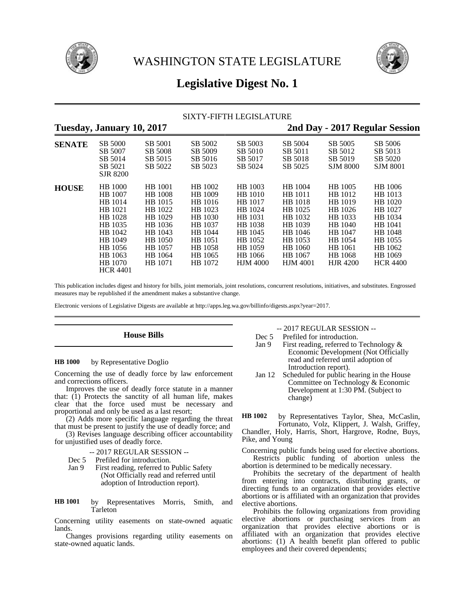



# **Legislative Digest No. 1**

|               |                                                                                                                                                 |                                                                                                                              | <b>SIXTY-FIFTH LEGISLATURE</b>                                                                                        |                                                                                                                               |                                                                                                                               |                                                                                                                               |                                                                                                                               |
|---------------|-------------------------------------------------------------------------------------------------------------------------------------------------|------------------------------------------------------------------------------------------------------------------------------|-----------------------------------------------------------------------------------------------------------------------|-------------------------------------------------------------------------------------------------------------------------------|-------------------------------------------------------------------------------------------------------------------------------|-------------------------------------------------------------------------------------------------------------------------------|-------------------------------------------------------------------------------------------------------------------------------|
|               | Tuesday, January 10, 2017                                                                                                                       |                                                                                                                              |                                                                                                                       |                                                                                                                               |                                                                                                                               |                                                                                                                               | 2nd Day - 2017 Regular Session                                                                                                |
| <b>SENATE</b> | SB 5000<br>SB 5007<br>SB 5014<br>SB 5021<br><b>SJR 8200</b>                                                                                     | SB 5001<br>SB 5008<br>SB 5015<br>SB 5022                                                                                     | SB 5002<br>SB 5009<br>SB 5016<br>SB 5023                                                                              | SB 5003<br>SB 5010<br>SB 5017<br>SB 5024                                                                                      | SB 5004<br>SB 5011<br>SB 5018<br>SB 5025                                                                                      | SB 5005<br>SB 5012<br>SB 5019<br><b>SJM 8000</b>                                                                              | SB 5006<br>SB 5013<br>SB 5020<br><b>SJM 8001</b>                                                                              |
| <b>HOUSE</b>  | <b>HB</b> 1000<br>HB 1007<br>HB 1014<br>HB 1021<br>HB 1028<br>HB 1035<br>HB 1042<br>HB 1049<br>HB 1056<br>HB 1063<br>HB 1070<br><b>HCR 4401</b> | HB 1001<br><b>HB</b> 1008<br>HB 1015<br>HB 1022<br>HB 1029<br>HB 1036<br>HB 1043<br>HB 1050<br>HB 1057<br>HB 1064<br>HB 1071 | HB 1002<br>HB 1009<br>HB 1016<br>HB 1023<br>HB 1030<br>HB 1037<br>HB 1044<br>HB 1051<br>HB 1058<br>HB 1065<br>HB 1072 | HB 1003<br>HB 1010<br>HB 1017<br>HB 1024<br>HB 1031<br>HB 1038<br>HB 1045<br>HB 1052<br>HB 1059<br>HB 1066<br><b>HJM 4000</b> | HB 1004<br>HB 1011<br>HB 1018<br>HB 1025<br>HB 1032<br>HB 1039<br>HB 1046<br>HB 1053<br>HB 1060<br>HB 1067<br><b>HJM 4001</b> | HB 1005<br>HB 1012<br>HB 1019<br>HB 1026<br>HB 1033<br>HB 1040<br>HB 1047<br>HB 1054<br>HB 1061<br>HB 1068<br><b>HJR 4200</b> | HB 1006<br>HB 1013<br>HB 1020<br>HB 1027<br>HB 1034<br>HB 1041<br>HB 1048<br>HB 1055<br>HB 1062<br>HB 1069<br><b>HCR 4400</b> |

This publication includes digest and history for bills, joint memorials, joint resolutions, concurrent resolutions, initiatives, and substitutes. Engrossed measures may be republished if the amendment makes a substantive change.

Electronic versions of Legislative Digests are available at http://apps.leg.wa.gov/billinfo/digests.aspx?year=2017.

# **House Bills**

#### by Representative Doglio **HB 1000**

Concerning the use of deadly force by law enforcement and corrections officers.

Improves the use of deadly force statute in a manner that:  $(1)$  Protects the sanctity of all human life, makes clear that the force used must be necessary and proportional and only be used as a last resort;

(2) Adds more specific language regarding the threat that must be present to justify the use of deadly force; and

(3) Revises language describing officer accountability for unjustified uses of deadly force.

### -- 2017 REGULAR SESSION --

- Dec 5 Prefiled for introduction.
- Jan 9 First reading, referred to Public Safety (Not Officially read and referred until adoption of Introduction report).
- by Representatives Morris, Smith, and Tarleton **HB 1001**

Concerning utility easements on state-owned aquatic lands.

Changes provisions regarding utility easements on state-owned aquatic lands.

-- 2017 REGULAR SESSION --

- Dec 5 Prefiled for introduction.<br>Jan 9 First reading, referred to
	- First reading, referred to Technology  $&$ Economic Development (Not Officially read and referred until adoption of Introduction report).
- Jan 12 Scheduled for public hearing in the House Committee on Technology & Economic Development at 1:30 PM. (Subject to change)

by Representatives Taylor, Shea, McCaslin, Fortunato, Volz, Klippert, J. Walsh, Griffey, Chandler, Holy, Harris, Short, Hargrove, Rodne, Buys, Pike, and Young **HB 1002**

Concerning public funds being used for elective abortions. Restricts public funding of abortion unless the abortion is determined to be medically necessary.

Prohibits the secretary of the department of health from entering into contracts, distributing grants, or directing funds to an organization that provides elective abortions or is affiliated with an organization that provides elective abortions.

Prohibits the following organizations from providing elective abortions or purchasing services from an organization that provides elective abortions or is affiliated with an organization that provides elective abortions: (1) A health benefit plan offered to public employees and their covered dependents;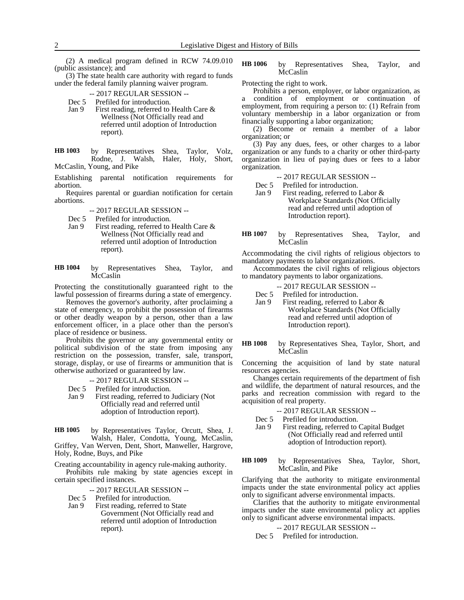(2) A medical program defined in RCW 74.09.010 (public assistance); and

(3) The state health care authority with regard to funds under the federal family planning waiver program.

- -- 2017 REGULAR SESSION --
- Dec 5 Prefiled for introduction.
- Jan 9 First reading, referred to Health Care & Wellness (Not Officially read and referred until adoption of Introduction report).

by Representatives Shea, Taylor, Volz, Rodne, J. Walsh, Haler, Holy, Short, McCaslin, Young, and Pike **HB 1003**

Establishing parental notification requirements for abortion.

Requires parental or guardian notification for certain abortions.

- -- 2017 REGULAR SESSION --
- 
- Dec 5 Prefiled for introduction.<br>Jan 9 First reading, referred to First reading, referred to Health Care & Wellness (Not Officially read and referred until adoption of Introduction report).

by Representatives Shea, Taylor, and **McCaslin HB 1004**

Protecting the constitutionally guaranteed right to the lawful possession of firearms during a state of emergency.

Removes the governor's authority, after proclaiming a state of emergency, to prohibit the possession of firearms or other deadly weapon by a person, other than a law enforcement officer, in a place other than the person's place of residence or business.

Prohibits the governor or any governmental entity or political subdivision of the state from imposing any restriction on the possession, transfer, sale, transport, storage, display, or use of firearms or ammunition that is otherwise authorized or guaranteed by law.

-- 2017 REGULAR SESSION --

- Dec 5 Prefiled for introduction.<br>Jan 9 First reading, referred to
- First reading, referred to Judiciary (Not Officially read and referred until adoption of Introduction report).

by Representatives Taylor, Orcutt, Shea, J. Walsh, Haler, Condotta, Young, McCaslin, Griffey, Van Werven, Dent, Short, Manweller, Hargrove, Holy, Rodne, Buys, and Pike **HB 1005**

Creating accountability in agency rule-making authority.

Prohibits rule making by state agencies except in certain specified instances.

-- 2017 REGULAR SESSION --

- Dec 5 Prefiled for introduction.
- Jan 9 First reading, referred to State Government (Not Officially read and referred until adoption of Introduction report).

by Representatives Shea, Taylor, and McCaslin **HB 1006**

Protecting the right to work.

Prohibits a person, employer, or labor organization, as a condition of employment or continuation of employment, from requiring a person to: (1) Refrain from voluntary membership in a labor organization or from financially supporting a labor organization;

(2) Become or remain a member of a labor organization; or

(3) Pay any dues, fees, or other charges to a labor organization or any funds to a charity or other third-party organization in lieu of paying dues or fees to a labor organization.

-- 2017 REGULAR SESSION --

Dec 5 Prefiled for introduction.

- Jan 9 First reading, referred to Labor & Workplace Standards (Not Officially read and referred until adoption of Introduction report).
- by Representatives Shea, Taylor, and **McCaslin HB 1007**

Accommodating the civil rights of religious objectors to mandatory payments to labor organizations.

Accommodates the civil rights of religious objectors to mandatory payments to labor organizations.

-- 2017 REGULAR SESSION --

- Dec 5 Prefiled for introduction.
- Jan 9 First reading, referred to Labor & Workplace Standards (Not Officially read and referred until adoption of Introduction report).
- by Representatives Shea, Taylor, Short, and McCaslin **HB 1008**

Concerning the acquisition of land by state natural resources agencies.

Changes certain requirements of the department of fish and wildlife, the department of natural resources, and the parks and recreation commission with regard to the acquisition of real property.

-- 2017 REGULAR SESSION --

Dec 5 Prefiled for introduction.

Jan 9 First reading, referred to Capital Budget (Not Officially read and referred until adoption of Introduction report).

by Representatives Shea, Taylor, Short, McCaslin, and Pike **HB 1009**

Clarifying that the authority to mitigate environmental impacts under the state environmental policy act applies only to significant adverse environmental impacts.

Clarifies that the authority to mitigate environmental impacts under the state environmental policy act applies only to significant adverse environmental impacts.

### -- 2017 REGULAR SESSION --

Dec 5 Prefiled for introduction.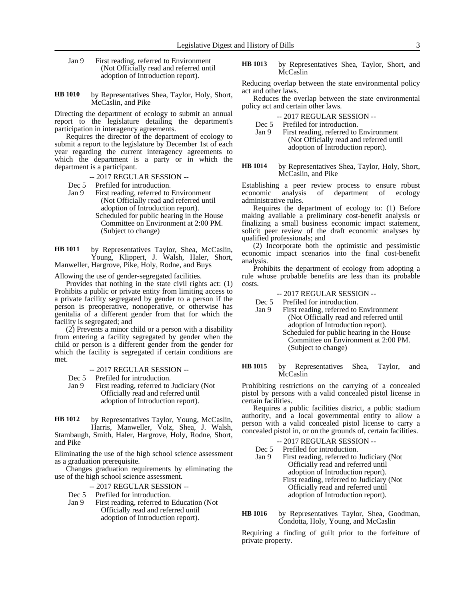- Jan 9 First reading, referred to Environment (Not Officially read and referred until adoption of Introduction report).
- by Representatives Shea, Taylor, Holy, Short, McCaslin, and Pike **HB 1010**

Directing the department of ecology to submit an annual report to the legislature detailing the department's participation in interagency agreements.

Requires the director of the department of ecology to submit a report to the legislature by December 1st of each year regarding the current interagency agreements to which the department is a party or in which the department is a participant.

-- 2017 REGULAR SESSION --

- Dec 5 Prefiled for introduction.
- Jan 9 First reading, referred to Environment (Not Officially read and referred until adoption of Introduction report). Scheduled for public hearing in the House
	- Committee on Environment at 2:00 PM. (Subject to change)

by Representatives Taylor, Shea, McCaslin, Young, Klippert, J. Walsh, Haler, Short, Manweller, Hargrove, Pike, Holy, Rodne, and Buys **HB 1011**

Allowing the use of gender-segregated facilities.

Provides that nothing in the state civil rights act: (1) Prohibits a public or private entity from limiting access to a private facility segregated by gender to a person if the person is preoperative, nonoperative, or otherwise has genitalia of a different gender from that for which the facility is segregated; and

(2) Prevents a minor child or a person with a disability from entering a facility segregated by gender when the child or person is a different gender from the gender for which the facility is segregated if certain conditions are met.

-- 2017 REGULAR SESSION --

Dec 5 Prefiled for introduction.

Jan 9 First reading, referred to Judiciary (Not Officially read and referred until adoption of Introduction report).

by Representatives Taylor, Young, McCaslin, Harris, Manweller, Volz, Shea, J. Walsh, **HB 1012**

Stambaugh, Smith, Haler, Hargrove, Holy, Rodne, Short, and Pike

Eliminating the use of the high school science assessment as a graduation prerequisite.

Changes graduation requirements by eliminating the use of the high school science assessment.

-- 2017 REGULAR SESSION --

Dec 5 Prefiled for introduction.

Jan 9 First reading, referred to Education (Not Officially read and referred until adoption of Introduction report).

by Representatives Shea, Taylor, Short, and McCaslin **HB 1013**

Reducing overlap between the state environmental policy act and other laws.

Reduces the overlap between the state environmental policy act and certain other laws.

Dec 5 Prefiled for introduction.<br>Jan 9 First reading. referred to First reading, referred to Environment (Not Officially read and referred until

adoption of Introduction report).

#### by Representatives Shea, Taylor, Holy, Short, McCaslin, and Pike **HB 1014**

Establishing a peer review process to ensure robust economic analysis of department of ecology administrative rules.

Requires the department of ecology to: (1) Before making available a preliminary cost-benefit analysis or finalizing a small business economic impact statement, solicit peer review of the draft economic analyses by qualified professionals; and

(2) Incorporate both the optimistic and pessimistic economic impact scenarios into the final cost-benefit analysis.

Prohibits the department of ecology from adopting a rule whose probable benefits are less than its probable costs.

### -- 2017 REGULAR SESSION --

Dec 5 Prefiled for introduction.

- Jan 9 First reading, referred to Environment (Not Officially read and referred until adoption of Introduction report).
	- Scheduled for public hearing in the House Committee on Environment at 2:00 PM. (Subject to change)

by Representatives Shea, Taylor, and **McCaslin HB 1015**

Prohibiting restrictions on the carrying of a concealed pistol by persons with a valid concealed pistol license in certain facilities.

Requires a public facilities district, a public stadium authority, and a local governmental entity to allow a person with a valid concealed pistol license to carry a concealed pistol in, or on the grounds of, certain facilities.

### -- 2017 REGULAR SESSION --

Dec 5 Prefiled for introduction.

Jan 9 First reading, referred to Judiciary (Not Officially read and referred until adoption of Introduction report). First reading, referred to Judiciary (Not Officially read and referred until adoption of Introduction report).

by Representatives Taylor, Shea, Goodman, Condotta, Holy, Young, and McCaslin **HB 1016**

Requiring a finding of guilt prior to the forfeiture of private property.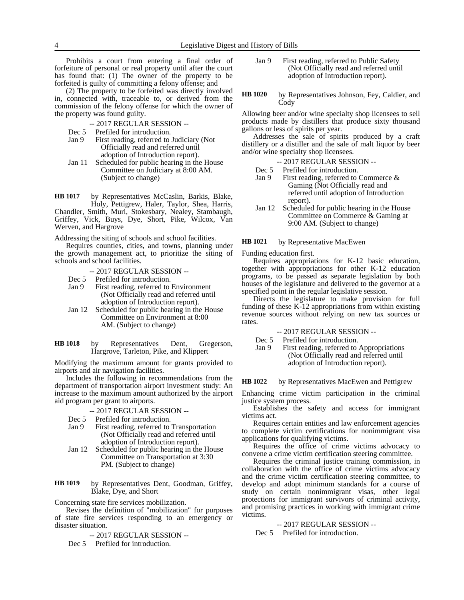Prohibits a court from entering a final order of forfeiture of personal or real property until after the court has found that: (1) The owner of the property to be forfeited is guilty of committing a felony offense; and

(2) The property to be forfeited was directly involved in, connected with, traceable to, or derived from the commission of the felony offense for which the owner of the property was found guilty.

- -- 2017 REGULAR SESSION --
- Dec 5 Prefiled for introduction.
- Jan 9 First reading, referred to Judiciary (Not Officially read and referred until adoption of Introduction report).
- Jan 11 Scheduled for public hearing in the House Committee on Judiciary at 8:00 AM. (Subject to change)

by Representatives McCaslin, Barkis, Blake, Holy, Pettigrew, Haler, Taylor, Shea, Harris, Chandler, Smith, Muri, Stokesbary, Nealey, Stambaugh, Griffey, Vick, Buys, Dye, Short, Pike, Wilcox, Van Werven, and Hargrove **HB 1017**

Addressing the siting of schools and school facilities.

Requires counties, cities, and towns, planning under the growth management act, to prioritize the siting of schools and school facilities.

- -- 2017 REGULAR SESSION --
- Dec 5 Prefiled for introduction.
- Jan 9 First reading, referred to Environment (Not Officially read and referred until adoption of Introduction report).
- Jan 12 Scheduled for public hearing in the House Committee on Environment at 8:00 AM. (Subject to change)
- by Representatives Dent, Gregerson, Hargrove, Tarleton, Pike, and Klippert **HB 1018**

Modifying the maximum amount for grants provided to airports and air navigation facilities.

Includes the following in recommendations from the department of transportation airport investment study: An increase to the maximum amount authorized by the airport aid program per grant to airports.

- -- 2017 REGULAR SESSION --
- Dec 5 Prefiled for introduction.
- Jan 9 First reading, referred to Transportation (Not Officially read and referred until adoption of Introduction report).
- Jan 12 Scheduled for public hearing in the House Committee on Transportation at 3:30 PM. (Subject to change)

by Representatives Dent, Goodman, Griffey, Blake, Dye, and Short **HB 1019**

Concerning state fire services mobilization.

Revises the definition of "mobilization" for purposes of state fire services responding to an emergency or disaster situation.

-- 2017 REGULAR SESSION --

Dec 5 Prefiled for introduction.

- Jan 9 First reading, referred to Public Safety (Not Officially read and referred until adoption of Introduction report).
- by Representatives Johnson, Fey, Caldier, and Cody **HB 1020**

Allowing beer and/or wine specialty shop licensees to sell products made by distillers that produce sixty thousand gallons or less of spirits per year.

Addresses the sale of spirits produced by a craft distillery or a distiller and the sale of malt liquor by beer and/or wine specialty shop licensees.

-- 2017 REGULAR SESSION --

Dec 5 Prefiled for introduction.

- Jan 9 First reading, referred to Commerce & Gaming (Not Officially read and referred until adoption of Introduction report).
- Jan 12 Scheduled for public hearing in the House Committee on Commerce & Gaming at 9:00 AM. (Subject to change)

by Representative MacEwen **HB 1021**

Funding education first.

Requires appropriations for K-12 basic education, together with appropriations for other K-12 education programs, to be passed as separate legislation by both houses of the legislature and delivered to the governor at a specified point in the regular legislative session.

Directs the legislature to make provision for full funding of these K-12 appropriations from within existing revenue sources without relying on new tax sources or rates.

### -- 2017 REGULAR SESSION --

Dec 5 Prefiled for introduction.

Jan 9 First reading, referred to Appropriations (Not Officially read and referred until adoption of Introduction report).

by Representatives MacEwen and Pettigrew **HB 1022**

Enhancing crime victim participation in the criminal justice system process.

Establishes the safety and access for immigrant victims act.

Requires certain entities and law enforcement agencies to complete victim certifications for nonimmigrant visa applications for qualifying victims.

Requires the office of crime victims advocacy to convene a crime victim certification steering committee.

Requires the criminal justice training commission, in collaboration with the office of crime victims advocacy and the crime victim certification steering committee, to develop and adopt minimum standards for a course of study on certain nonimmigrant visas, other legal protections for immigrant survivors of criminal activity, and promising practices in working with immigrant crime victims.

### -- 2017 REGULAR SESSION --

Dec 5 Prefiled for introduction.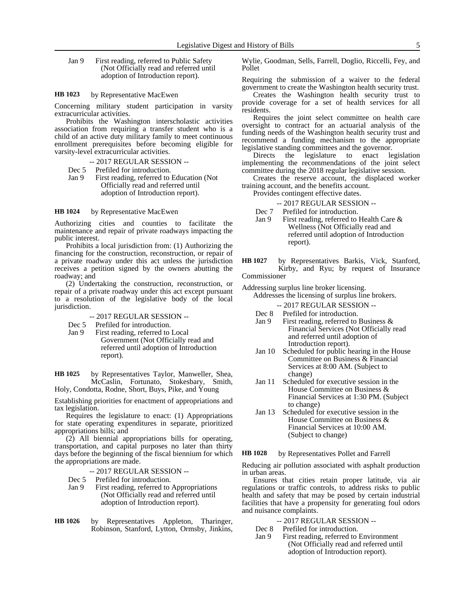Jan 9 First reading, referred to Public Safety (Not Officially read and referred until adoption of Introduction report).

#### by Representative MacEwen **HB 1023**

Concerning military student participation in varsity extracurricular activities.

Prohibits the Washington interscholastic activities association from requiring a transfer student who is a child of an active duty military family to meet continuous enrollment prerequisites before becoming eligible for varsity-level extracurricular activities.

- -- 2017 REGULAR SESSION --
- Dec 5 Prefiled for introduction.
- Jan 9 First reading, referred to Education (Not Officially read and referred until adoption of Introduction report).

#### by Representative MacEwen **HB 1024**

Authorizing cities and counties to facilitate the maintenance and repair of private roadways impacting the public interest.

Prohibits a local jurisdiction from: (1) Authorizing the financing for the construction, reconstruction, or repair of a private roadway under this act unless the jurisdiction receives a petition signed by the owners abutting the roadway; and

(2) Undertaking the construction, reconstruction, or repair of a private roadway under this act except pursuant to a resolution of the legislative body of the local jurisdiction.

### -- 2017 REGULAR SESSION --

- Dec 5 Prefiled for introduction.
- Jan 9 First reading, referred to Local Government (Not Officially read and referred until adoption of Introduction report).

by Representatives Taylor, Manweller, Shea, McCaslin, Fortunato, Stokesbary, Smith, **HB 1025**

Holy, Condotta, Rodne, Short, Buys, Pike, and Young

Establishing priorities for enactment of appropriations and tax legislation.

Requires the legislature to enact: (1) Appropriations for state operating expenditures in separate, prioritized appropriations bills; and

(2) All biennial appropriations bills for operating, transportation, and capital purposes no later than thirty days before the beginning of the fiscal biennium for which the appropriations are made.

- -- 2017 REGULAR SESSION --
- Dec 5 Prefiled for introduction.
- Jan 9 First reading, referred to Appropriations (Not Officially read and referred until adoption of Introduction report).
- by Representatives Appleton, Tharinger, Robinson, Stanford, Lytton, Ormsby, Jinkins, **HB 1026**

Wylie, Goodman, Sells, Farrell, Doglio, Riccelli, Fey, and Pollet

Requiring the submission of a waiver to the federal government to create the Washington health security trust.

Creates the Washington health security trust to provide coverage for a set of health services for all residents.

Requires the joint select committee on health care oversight to contract for an actuarial analysis of the funding needs of the Washington health security trust and recommend a funding mechanism to the appropriate legislative standing committees and the governor.

Directs the legislature to enact legislation implementing the recommendations of the joint select committee during the 2018 regular legislative session.

Creates the reserve account, the displaced worker training account, and the benefits account.

Provides contingent effective dates.

-- 2017 REGULAR SESSION --

- Dec 7 Prefiled for introduction.
- Jan 9 First reading, referred to Health Care & Wellness (Not Officially read and referred until adoption of Introduction report).
- by Representatives Barkis, Vick, Stanford, Kirby, and Ryu; by request of Insurance Commissioner **HB 1027**

Addressing surplus line broker licensing.

Addresses the licensing of surplus line brokers.

- -- 2017 REGULAR SESSION --
- Dec 8 Prefiled for introduction.
- Jan 9 First reading, referred to Business & Financial Services (Not Officially read and referred until adoption of Introduction report).
- Jan 10 Scheduled for public hearing in the House Committee on Business & Financial Services at 8:00 AM. (Subject to change)
- Jan 11 Scheduled for executive session in the House Committee on Business & Financial Services at 1:30 PM. (Subject to change)
- Jan 13 Scheduled for executive session in the House Committee on Business & Financial Services at 10:00 AM. (Subject to change)

by Representatives Pollet and Farrell **HB 1028**

Reducing air pollution associated with asphalt production in urban areas.

Ensures that cities retain proper latitude, via air regulations or traffic controls, to address risks to public health and safety that may be posed by certain industrial facilities that have a propensity for generating foul odors and nuisance complaints.

- -- 2017 REGULAR SESSION --
- Dec 8 Prefiled for introduction.<br>Jan 9 First reading, referred to
	- First reading, referred to Environment (Not Officially read and referred until adoption of Introduction report).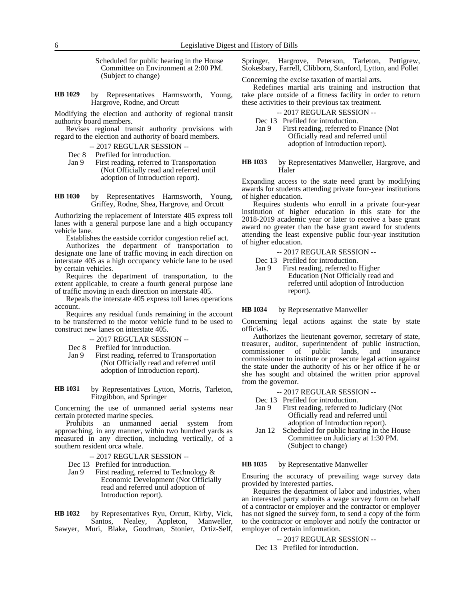Scheduled for public hearing in the House Committee on Environment at 2:00 PM. (Subject to change)

by Representatives Harmsworth, Young, Hargrove, Rodne, and Orcutt **HB 1029**

Modifying the election and authority of regional transit authority board members.

Revises regional transit authority provisions with regard to the election and authority of board members.

- -- 2017 REGULAR SESSION --
- Dec 8 Prefiled for introduction.<br>Jan 9 First reading, referred to
- First reading, referred to Transportation (Not Officially read and referred until adoption of Introduction report).
- by Representatives Harmsworth, Young, Griffey, Rodne, Shea, Hargrove, and Orcutt **HB 1030**

Authorizing the replacement of Interstate 405 express toll lanes with a general purpose lane and a high occupancy vehicle lane.

Establishes the eastside corridor congestion relief act.

Authorizes the department of transportation to designate one lane of traffic moving in each direction on interstate 405 as a high occupancy vehicle lane to be used by certain vehicles.

Requires the department of transportation, to the extent applicable, to create a fourth general purpose lane of traffic moving in each direction on interstate 405.

Repeals the interstate 405 express toll lanes operations account.

Requires any residual funds remaining in the account to be transferred to the motor vehicle fund to be used to construct new lanes on interstate 405.

-- 2017 REGULAR SESSION --

- Dec 8 Prefiled for introduction.
- Jan 9 First reading, referred to Transportation (Not Officially read and referred until adoption of Introduction report).
- by Representatives Lytton, Morris, Tarleton, Fitzgibbon, and Springer **HB 1031**

Concerning the use of unmanned aerial systems near certain protected marine species.

Prohibits an unmanned aerial system from approaching, in any manner, within two hundred yards as measured in any direction, including vertically, of a southern resident orca whale.

- -- 2017 REGULAR SESSION --
- Dec 13 Prefiled for introduction.
- Jan 9 First reading, referred to Technology & Economic Development (Not Officially read and referred until adoption of Introduction report).
- by Representatives Ryu, Orcutt, Kirby, Vick, Santos, Nealey, Appleton, Manweller, Sawyer, Muri, Blake, Goodman, Stonier, Ortiz-Self, **HB 1032**

Springer, Hargrove, Peterson, Tarleton, Pettigrew, Stokesbary, Farrell, Clibborn, Stanford, Lytton, and Pollet

Concerning the excise taxation of martial arts.

Redefines martial arts training and instruction that take place outside of a fitness facility in order to return these activities to their previous tax treatment.

-- 2017 REGULAR SESSION --

Dec 13 Prefiled for introduction.<br>Jan 9 First reading, referred to First reading, referred to Finance (Not Officially read and referred until adoption of Introduction report).

by Representatives Manweller, Hargrove, and **Haler HB 1033**

Expanding access to the state need grant by modifying awards for students attending private four-year institutions of higher education.

Requires students who enroll in a private four-year institution of higher education in this state for the 2018-2019 academic year or later to receive a base grant award no greater than the base grant award for students attending the least expensive public four-year institution of higher education.

-- 2017 REGULAR SESSION --

Dec 13 Prefiled for introduction.

Jan 9 First reading, referred to Higher Education (Not Officially read and referred until adoption of Introduction report).

#### by Representative Manweller **HB 1034**

Concerning legal actions against the state by state officials.

Authorizes the lieutenant governor, secretary of state, treasurer, auditor, superintendent of public instruction, commissioner of public lands, and insurance commissioner to institute or prosecute legal action against the state under the authority of his or her office if he or she has sought and obtained the written prior approval from the governor.

-- 2017 REGULAR SESSION --

- Dec 13 Prefiled for introduction.
- Jan 9 First reading, referred to Judiciary (Not Officially read and referred until adoption of Introduction report).
- Jan 12 Scheduled for public hearing in the House Committee on Judiciary at 1:30 PM. (Subject to change)

#### by Representative Manweller **HB 1035**

Ensuring the accuracy of prevailing wage survey data provided by interested parties.

Requires the department of labor and industries, when an interested party submits a wage survey form on behalf of a contractor or employer and the contractor or employer has not signed the survey form, to send a copy of the form to the contractor or employer and notify the contractor or employer of certain information.

-- 2017 REGULAR SESSION --

Dec 13 Prefiled for introduction.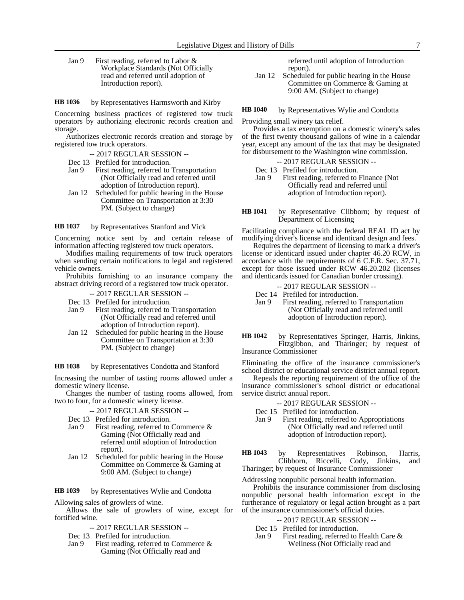Jan 9 First reading, referred to Labor & Workplace Standards (Not Officially read and referred until adoption of Introduction report).

by Representatives Harmsworth and Kirby **HB 1036**

Concerning business practices of registered tow truck operators by authorizing electronic records creation and storage.

Authorizes electronic records creation and storage by registered tow truck operators.

- -- 2017 REGULAR SESSION --
- Dec 13 Prefiled for introduction.<br>Jan 9 First reading, referred to
- First reading, referred to Transportation (Not Officially read and referred until adoption of Introduction report).
- Jan 12 Scheduled for public hearing in the House Committee on Transportation at 3:30 PM. (Subject to change)

by Representatives Stanford and Vick **HB 1037**

Concerning notice sent by and certain release of information affecting registered tow truck operators.

Modifies mailing requirements of tow truck operators when sending certain notifications to legal and registered vehicle owners.

Prohibits furnishing to an insurance company the abstract driving record of a registered tow truck operator.

- -- 2017 REGULAR SESSION --
- Dec 13 Prefiled for introduction.
- Jan 9 First reading, referred to Transportation (Not Officially read and referred until adoption of Introduction report).
- Jan 12 Scheduled for public hearing in the House Committee on Transportation at 3:30 PM. (Subject to change)

#### by Representatives Condotta and Stanford **HB 1038**

Increasing the number of tasting rooms allowed under a domestic winery license.

Changes the number of tasting rooms allowed, from two to four, for a domestic winery license.

- -- 2017 REGULAR SESSION --
- Dec 13 Prefiled for introduction.
- Jan 9 First reading, referred to Commerce & Gaming (Not Officially read and referred until adoption of Introduction report).
- Jan 12 Scheduled for public hearing in the House Committee on Commerce & Gaming at 9:00 AM. (Subject to change)

by Representatives Wylie and Condotta **HB 1039**

Allowing sales of growlers of wine.

Allows the sale of growlers of wine, except for fortified wine.

- -- 2017 REGULAR SESSION --
- Dec 13 Prefiled for introduction.
- Jan 9 First reading, referred to Commerce & Gaming (Not Officially read and

referred until adoption of Introduction report).

Jan 12 Scheduled for public hearing in the House Committee on Commerce & Gaming at 9:00 AM. (Subject to change)

by Representatives Wylie and Condotta **HB 1040**

Providing small winery tax relief.

Provides a tax exemption on a domestic winery's sales of the first twenty thousand gallons of wine in a calendar year, except any amount of the tax that may be designated for disbursement to the Washington wine commission.

-- 2017 REGULAR SESSION --

Dec 13 Prefiled for introduction.

- Jan 9 First reading, referred to Finance (Not Officially read and referred until adoption of Introduction report).
- by Representative Clibborn; by request of Department of Licensing **HB 1041**

Facilitating compliance with the federal REAL ID act by modifying driver's license and identicard design and fees.

Requires the department of licensing to mark a driver's license or identicard issued under chapter 46.20 RCW, in accordance with the requirements of 6 C.F.R. Sec. 37.71, except for those issued under RCW 46.20.202 (licenses and identicards issued for Canadian border crossing).

- -- 2017 REGULAR SESSION --
- Dec 14 Prefiled for introduction.
- Jan 9 First reading, referred to Transportation (Not Officially read and referred until adoption of Introduction report).
- by Representatives Springer, Harris, Jinkins, Fitzgibbon, and Tharinger; by request of Insurance Commissioner **HB 1042**

Eliminating the office of the insurance commissioner's school district or educational service district annual report.

Repeals the reporting requirement of the office of the insurance commissioner's school district or educational service district annual report.

- -- 2017 REGULAR SESSION --
- Dec 15 Prefiled for introduction.
- Jan 9 First reading, referred to Appropriations (Not Officially read and referred until adoption of Introduction report).

by Representatives Robinson, Harris, Clibborn, Riccelli, Cody, Jinkins, and Tharinger; by request of Insurance Commissioner **HB 1043**

Addressing nonpublic personal health information.

Prohibits the insurance commissioner from disclosing nonpublic personal health information except in the furtherance of regulatory or legal action brought as a part of the insurance commissioner's official duties.

- -- 2017 REGULAR SESSION --
- Dec 15 Prefiled for introduction.<br>Jan 9 First reading, referred to
- First reading, referred to Health Care  $\&$ Wellness (Not Officially read and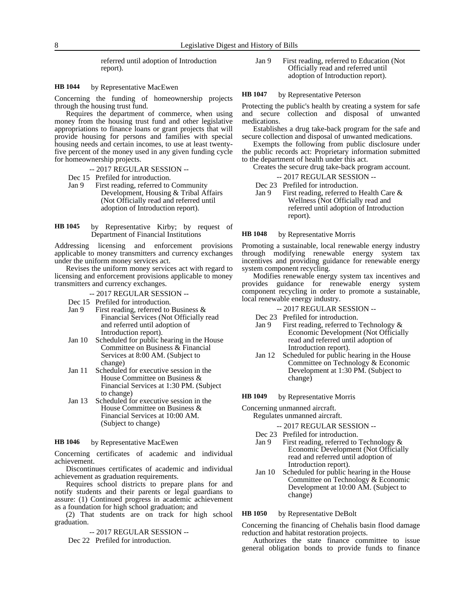referred until adoption of Introduction report).

#### by Representative MacEwen **HB 1044**

Concerning the funding of homeownership projects through the housing trust fund.

Requires the department of commerce, when using money from the housing trust fund and other legislative appropriations to finance loans or grant projects that will provide housing for persons and families with special housing needs and certain incomes, to use at least twentyfive percent of the money used in any given funding cycle for homeownership projects.

-- 2017 REGULAR SESSION --

- Dec 15 Prefiled for introduction.
- Jan 9 First reading, referred to Community Development, Housing & Tribal Affairs (Not Officially read and referred until adoption of Introduction report).

by Representative Kirby; by request of Department of Financial Institutions **HB 1045**

Addressing licensing and enforcement provisions applicable to money transmitters and currency exchanges under the uniform money services act.

Revises the uniform money services act with regard to licensing and enforcement provisions applicable to money transmitters and currency exchanges.

- -- 2017 REGULAR SESSION --
- Dec 15 Prefiled for introduction.
- Jan 9 First reading, referred to Business  $\&$ Financial Services (Not Officially read and referred until adoption of Introduction report).
- Jan 10 Scheduled for public hearing in the House Committee on Business & Financial Services at 8:00 AM. (Subject to change)
- Jan 11 Scheduled for executive session in the House Committee on Business & Financial Services at 1:30 PM. (Subject to change)
- Jan 13 Scheduled for executive session in the House Committee on Business & Financial Services at 10:00 AM. (Subject to change)

#### by Representative MacEwen **HB 1046**

Concerning certificates of academic and individual achievement.

Discontinues certificates of academic and individual achievement as graduation requirements.

Requires school districts to prepare plans for and notify students and their parents or legal guardians to assure: (1) Continued progress in academic achievement as a foundation for high school graduation; and

(2) That students are on track for high school graduation.

-- 2017 REGULAR SESSION --

Dec 22 Prefiled for introduction.

Jan 9 First reading, referred to Education (Not Officially read and referred until adoption of Introduction report).

#### by Representative Peterson **HB 1047**

Protecting the public's health by creating a system for safe and secure collection and disposal of unwanted medications.

Establishes a drug take-back program for the safe and secure collection and disposal of unwanted medications.

Exempts the following from public disclosure under the public records act: Proprietary information submitted to the department of health under this act.

Creates the secure drug take-back program account.

-- 2017 REGULAR SESSION --

- Dec 23 Prefiled for introduction.
- Jan 9 First reading, referred to Health Care & Wellness (Not Officially read and referred until adoption of Introduction report).

#### by Representative Morris **HB 1048**

Promoting a sustainable, local renewable energy industry through modifying renewable energy system tax incentives and providing guidance for renewable energy system component recycling.

Modifies renewable energy system tax incentives and provides guidance for renewable energy system component recycling in order to promote a sustainable, local renewable energy industry.

- -- 2017 REGULAR SESSION --
- Dec 23 Prefiled for introduction.
- Jan 9 First reading, referred to Technology & Economic Development (Not Officially read and referred until adoption of Introduction report).
- Jan 12 Scheduled for public hearing in the House Committee on Technology & Economic Development at 1:30 PM. (Subject to change)

by Representative Morris **HB 1049**

Concerning unmanned aircraft. Regulates unmanned aircraft.

-- 2017 REGULAR SESSION --

- Dec 23 Prefiled for introduction.
- Jan 9 First reading, referred to Technology & Economic Development (Not Officially read and referred until adoption of Introduction report).
- Jan 10 Scheduled for public hearing in the House Committee on Technology & Economic Development at 10:00 AM. (Subject to change)

by Representative DeBolt **HB 1050**

Concerning the financing of Chehalis basin flood damage reduction and habitat restoration projects.

Authorizes the state finance committee to issue general obligation bonds to provide funds to finance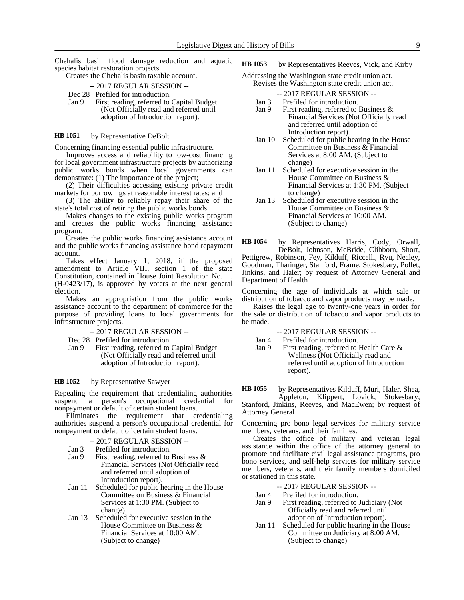Chehalis basin flood damage reduction and aquatic species habitat restoration projects.

Creates the Chehalis basin taxable account.

-- 2017 REGULAR SESSION --

- Dec 28 Prefiled for introduction.
- Jan 9 First reading, referred to Capital Budget (Not Officially read and referred until adoption of Introduction report).

#### by Representative DeBolt **HB 1051**

Concerning financing essential public infrastructure.

Improves access and reliability to low-cost financing for local government infrastructure projects by authorizing public works bonds when local governments can demonstrate: (1) The importance of the project;

(2) Their difficulties accessing existing private credit markets for borrowings at reasonable interest rates; and

(3) The ability to reliably repay their share of the state's total cost of retiring the public works bonds.

Makes changes to the existing public works program and creates the public works financing assistance program.

Creates the public works financing assistance account and the public works financing assistance bond repayment account.

Takes effect January 1, 2018, if the proposed amendment to Article VIII, section 1 of the state Constitution, contained in House Joint Resolution No. .... (H-0423/17), is approved by voters at the next general election.

Makes an appropriation from the public works assistance account to the department of commerce for the purpose of providing loans to local governments for infrastructure projects.

- -- 2017 REGULAR SESSION --
- Dec 28 Prefiled for introduction.
- Jan 9 First reading, referred to Capital Budget (Not Officially read and referred until adoption of Introduction report).

#### by Representative Sawyer **HB 1052**

Repealing the requirement that credentialing authorities suspend a person's occupational credential for nonpayment or default of certain student loans.

Eliminates the requirement that credentialing authorities suspend a person's occupational credential for nonpayment or default of certain student loans.

### -- 2017 REGULAR SESSION --

- Jan 3 Prefiled for introduction.
- Jan 9 First reading, referred to Business & Financial Services (Not Officially read and referred until adoption of Introduction report).
- Jan 11 Scheduled for public hearing in the House Committee on Business & Financial Services at 1:30 PM. (Subject to change)
- Jan 13 Scheduled for executive session in the House Committee on Business & Financial Services at 10:00 AM. (Subject to change)

by Representatives Reeves, Vick, and Kirby **HB 1053**

- Addressing the Washington state credit union act. Revises the Washington state credit union act.
	- -- 2017 REGULAR SESSION --
	- Jan 3 Prefiled for introduction.
	- Jan 9 First reading, referred to Business & Financial Services (Not Officially read and referred until adoption of Introduction report).
	- Jan 10 Scheduled for public hearing in the House Committee on Business & Financial Services at 8:00 AM. (Subject to change)
	- Jan 11 Scheduled for executive session in the House Committee on Business & Financial Services at 1:30 PM. (Subject to change)
	- Jan 13 Scheduled for executive session in the House Committee on Business & Financial Services at 10:00 AM. (Subject to change)

by Representatives Harris, Cody, Orwall, DeBolt, Johnson, McBride, Clibborn, Short, Pettigrew, Robinson, Fey, Kilduff, Riccelli, Ryu, Nealey, Goodman, Tharinger, Stanford, Frame, Stokesbary, Pollet, Jinkins, and Haler; by request of Attorney General and Department of Health **HB 1054**

Concerning the age of individuals at which sale or distribution of tobacco and vapor products may be made.

Raises the legal age to twenty-one years in order for the sale or distribution of tobacco and vapor products to be made.

### -- 2017 REGULAR SESSION --

- Jan 4 Prefiled for introduction.
- Jan 9 First reading, referred to Health Care & Wellness (Not Officially read and referred until adoption of Introduction report).

by Representatives Kilduff, Muri, Haler, Shea, Appleton, Klippert, Lovick, Stokesbary, Stanford, Jinkins, Reeves, and MacEwen; by request of Attorney General **HB 1055**

Concerning pro bono legal services for military service members, veterans, and their families.

Creates the office of military and veteran legal assistance within the office of the attorney general to promote and facilitate civil legal assistance programs, pro bono services, and self-help services for military service members, veterans, and their family members domiciled or stationed in this state.

-- 2017 REGULAR SESSION --

- Jan 4 Prefiled for introduction.
- Jan 9 First reading, referred to Judiciary (Not Officially read and referred until adoption of Introduction report).
- Jan 11 Scheduled for public hearing in the House Committee on Judiciary at 8:00 AM. (Subject to change)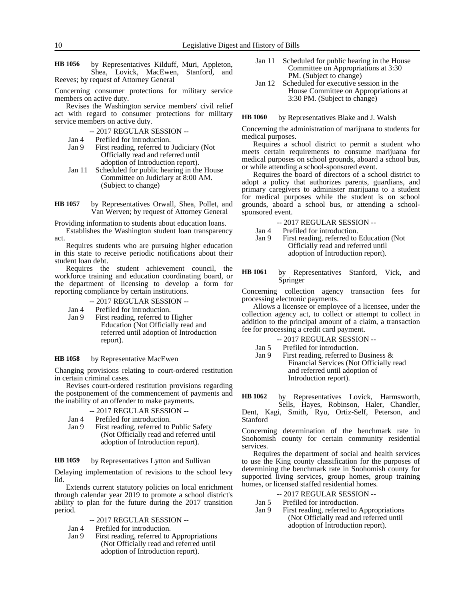by Representatives Kilduff, Muri, Appleton, Shea, Lovick, MacEwen, Stanford, and Reeves; by request of Attorney General **HB 1056**

Concerning consumer protections for military service members on active duty.

Revises the Washington service members' civil relief act with regard to consumer protections for military service members on active duty.

- -- 2017 REGULAR SESSION --
- Jan 4 Prefiled for introduction.
- Jan 9 First reading, referred to Judiciary (Not Officially read and referred until adoption of Introduction report).
- Jan 11 Scheduled for public hearing in the House Committee on Judiciary at 8:00 AM. (Subject to change)

by Representatives Orwall, Shea, Pollet, and Van Werven; by request of Attorney General **HB 1057**

Providing information to students about education loans.

Establishes the Washington student loan transparency act.

Requires students who are pursuing higher education in this state to receive periodic notifications about their student loan debt.

Requires the student achievement council, the workforce training and education coordinating board, or the department of licensing to develop a form for reporting compliance by certain institutions.

-- 2017 REGULAR SESSION --

- Jan 4 Prefiled for introduction.
- Jan 9 First reading, referred to Higher Education (Not Officially read and referred until adoption of Introduction report).

#### by Representative MacEwen **HB 1058**

Changing provisions relating to court-ordered restitution in certain criminal cases.

Revises court-ordered restitution provisions regarding the postponement of the commencement of payments and the inability of an offender to make payments.

- -- 2017 REGULAR SESSION --
- Jan 4 Prefiled for introduction.
- Jan 9 First reading, referred to Public Safety (Not Officially read and referred until adoption of Introduction report).

by Representatives Lytton and Sullivan **HB 1059**

Delaying implementation of revisions to the school levy lid.

Extends current statutory policies on local enrichment through calendar year 2019 to promote a school district's ability to plan for the future during the 2017 transition period.

- -- 2017 REGULAR SESSION --
- Jan 4 Prefiled for introduction.<br>Jan 9 First reading, referred to
- First reading, referred to Appropriations (Not Officially read and referred until adoption of Introduction report).
- Jan 11 Scheduled for public hearing in the House Committee on Appropriations at 3:30 PM. (Subject to change)
- Jan 12 Scheduled for executive session in the House Committee on Appropriations at 3:30 PM. (Subject to change)

by Representatives Blake and J. Walsh **HB 1060**

Concerning the administration of marijuana to students for medical purposes.

Requires a school district to permit a student who meets certain requirements to consume marijuana for medical purposes on school grounds, aboard a school bus, or while attending a school-sponsored event.

Requires the board of directors of a school district to adopt a policy that authorizes parents, guardians, and primary caregivers to administer marijuana to a student for medical purposes while the student is on school grounds, aboard a school bus, or attending a schoolsponsored event.

- -- 2017 REGULAR SESSION --
- Jan 4 Prefiled for introduction.<br>Jan 9 First reading, referred to
- First reading, referred to Education (Not Officially read and referred until adoption of Introduction report).
- by Representatives Stanford, Vick, and Springer **HB 1061**

Concerning collection agency transaction fees for processing electronic payments.

Allows a licensee or employee of a licensee, under the collection agency act, to collect or attempt to collect in addition to the principal amount of a claim, a transaction fee for processing a credit card payment.

-- 2017 REGULAR SESSION --

- Jan 5 Prefiled for introduction.
- Jan 9 First reading, referred to Business & Financial Services (Not Officially read and referred until adoption of Introduction report).

by Representatives Lovick, Harmsworth, Sells, Hayes, Robinson, Haler, Chandler, **HB 1062**

Dent, Kagi, Smith, Ryu, Ortiz-Self, Peterson, and Stanford

Concerning determination of the benchmark rate in Snohomish county for certain community residential services.

Requires the department of social and health services to use the King county classification for the purposes of determining the benchmark rate in Snohomish county for supported living services, group homes, group training homes, or licensed staffed residential homes.

- -- 2017 REGULAR SESSION --
- Jan 5 Prefiled for introduction.
- Jan 9 First reading, referred to Appropriations (Not Officially read and referred until adoption of Introduction report).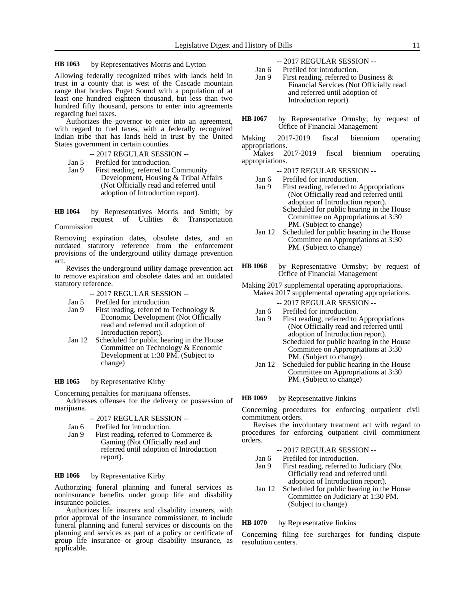#### by Representatives Morris and Lytton **HB 1063**

Allowing federally recognized tribes with lands held in trust in a county that is west of the Cascade mountain range that borders Puget Sound with a population of at least one hundred eighteen thousand, but less than two hundred fifty thousand, persons to enter into agreements regarding fuel taxes.

Authorizes the governor to enter into an agreement, with regard to fuel taxes, with a federally recognized Indian tribe that has lands held in trust by the United States government in certain counties.

- -- 2017 REGULAR SESSION --
- Jan 5 Prefiled for introduction.<br>Jan 9 First reading, referred to
- First reading, referred to Community Development, Housing & Tribal Affairs (Not Officially read and referred until adoption of Introduction report).

by Representatives Morris and Smith; by request of Utilities & Transportation Commission **HB 1064**

Removing expiration dates, obsolete dates, and an outdated statutory reference from the enforcement provisions of the underground utility damage prevention act.

Revises the underground utility damage prevention act to remove expiration and obsolete dates and an outdated statutory reference.

- -- 2017 REGULAR SESSION --
- Jan 5 Prefiled for introduction.
- Jan 9 First reading, referred to Technology & Economic Development (Not Officially read and referred until adoption of Introduction report).
- Jan 12 Scheduled for public hearing in the House Committee on Technology & Economic Development at 1:30 PM. (Subject to change)

#### by Representative Kirby **HB 1065**

Concerning penalties for marijuana offenses.

Addresses offenses for the delivery or possession of marijuana.

-- 2017 REGULAR SESSION --

- Jan 6 Prefiled for introduction.
- Jan 9 First reading, referred to Commerce & Gaming (Not Officially read and referred until adoption of Introduction report).

#### by Representative Kirby **HB 1066**

Authorizing funeral planning and funeral services as noninsurance benefits under group life and disability insurance policies.

Authorizes life insurers and disability insurers, with prior approval of the insurance commissioner, to include funeral planning and funeral services or discounts on the planning and services as part of a policy or certificate of group life insurance or group disability insurance, as applicable.

- -- 2017 REGULAR SESSION --
- Jan 6 Prefiled for introduction.
- Jan 9 First reading, referred to Business & Financial Services (Not Officially read and referred until adoption of Introduction report).
- by Representative Ormsby; by request of Office of Financial Management **HB 1067**
- Making 2017-2019 fiscal biennium operating appropriations.
- Makes 2017-2019 fiscal biennium operating appropriations.
	- -- 2017 REGULAR SESSION --
	- Jan 6 Prefiled for introduction.
	- Jan 9 First reading, referred to Appropriations (Not Officially read and referred until adoption of Introduction report). Scheduled for public hearing in the House Committee on Appropriations at 3:30 PM. (Subject to change)
	- Jan 12 Scheduled for public hearing in the House Committee on Appropriations at 3:30 PM. (Subject to change)
- by Representative Ormsby; by request of Office of Financial Management **HB 1068**
- Making 2017 supplemental operating appropriations. Makes 2017 supplemental operating appropriations.
	- -- 2017 REGULAR SESSION --
	- Jan 6 Prefiled for introduction.
	- Jan 9 First reading, referred to Appropriations (Not Officially read and referred until adoption of Introduction report). Scheduled for public hearing in the House Committee on Appropriations at 3:30 PM. (Subject to change)
	- Jan 12 Scheduled for public hearing in the House Committee on Appropriations at 3:30 PM. (Subject to change)

#### by Representative Jinkins **HB 1069**

Concerning procedures for enforcing outpatient civil commitment orders.

Revises the involuntary treatment act with regard to procedures for enforcing outpatient civil commitment orders.

- -- 2017 REGULAR SESSION --
- Jan 6 Prefiled for introduction.<br>Jan 9 First reading, referred to First reading, referred to Judiciary (Not Officially read and referred until adoption of Introduction report).
- Jan 12 Scheduled for public hearing in the House Committee on Judiciary at 1:30 PM. (Subject to change)

#### by Representative Jinkins **HB 1070**

Concerning filing fee surcharges for funding dispute resolution centers.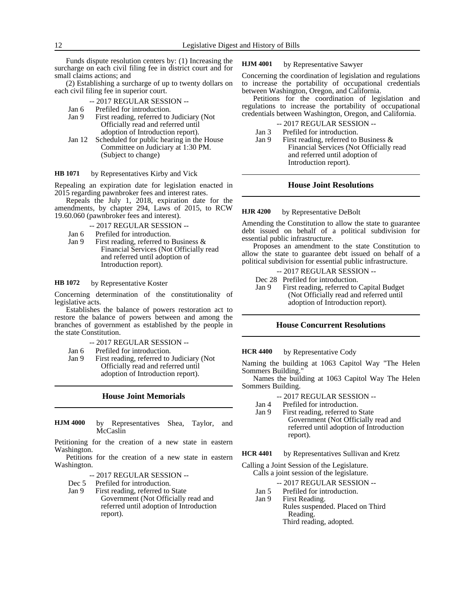Funds dispute resolution centers by: (1) Increasing the surcharge on each civil filing fee in district court and for small claims actions; and

(2) Establishing a surcharge of up to twenty dollars on each civil filing fee in superior court.

- -- 2017 REGULAR SESSION --
- Jan 6 Prefiled for introduction.
- Jan 9 First reading, referred to Judiciary (Not Officially read and referred until adoption of Introduction report).
- Jan 12 Scheduled for public hearing in the House Committee on Judiciary at 1:30 PM. (Subject to change)

#### by Representatives Kirby and Vick **HB 1071**

Repealing an expiration date for legislation enacted in 2015 regarding pawnbroker fees and interest rates.

Repeals the July 1, 2018, expiration date for the amendments, by chapter 294, Laws of 2015, to RCW 19.60.060 (pawnbroker fees and interest).

-- 2017 REGULAR SESSION --

- Jan 6 Prefiled for introduction.
- Jan 9 First reading, referred to Business  $\&$ Financial Services (Not Officially read and referred until adoption of Introduction report).

#### by Representative Koster **HB 1072**

Concerning determination of the constitutionality of legislative acts.

Establishes the balance of powers restoration act to restore the balance of powers between and among the branches of government as established by the people in the state Constitution.

- -- 2017 REGULAR SESSION --
- Jan 6 Prefiled for introduction.
- Jan 9 First reading, referred to Judiciary (Not Officially read and referred until adoption of Introduction report).

### **House Joint Memorials**

by Representatives Shea, Taylor, and McCaslin **HJM 4000**

Petitioning for the creation of a new state in eastern Washington.

Petitions for the creation of a new state in eastern Washington.

-- 2017 REGULAR SESSION --

- Dec 5 Prefiled for introduction.
- Jan 9 First reading, referred to State Government (Not Officially read and referred until adoption of Introduction report).

#### by Representative Sawyer **HJM 4001**

Concerning the coordination of legislation and regulations to increase the portability of occupational credentials between Washington, Oregon, and California.

Petitions for the coordination of legislation and regulations to increase the portability of occupational credentials between Washington, Oregon, and California.

-- 2017 REGULAR SESSION --

- Jan 3 Prefiled for introduction.
- Jan 9 First reading, referred to Business  $\&$ Financial Services (Not Officially read and referred until adoption of Introduction report).

### **House Joint Resolutions**

#### by Representative DeBolt **HJR 4200**

Amending the Constitution to allow the state to guarantee debt issued on behalf of a political subdivision for essential public infrastructure.

Proposes an amendment to the state Constitution to allow the state to guarantee debt issued on behalf of a political subdivision for essential public infrastructure.

-- 2017 REGULAR SESSION --

Dec 28 Prefiled for introduction.

Jan 9 First reading, referred to Capital Budget (Not Officially read and referred until adoption of Introduction report).

# **House Concurrent Resolutions**

by Representative Cody **HCR 4400**

Naming the building at 1063 Capitol Way "The Helen Sommers Building."

Names the building at 1063 Capitol Way The Helen Sommers Building.

- -- 2017 REGULAR SESSION --
- Jan 4 Prefiled for introduction.<br>Jan 9 First reading, referred to
- First reading, referred to State Government (Not Officially read and referred until adoption of Introduction report).

by Representatives Sullivan and Kretz **HCR 4401**

Calling a Joint Session of the Legislature.

- Calls a joint session of the legislature.
	- -- 2017 REGULAR SESSION --
	- Jan 5 Prefiled for introduction.<br>Jan 9 First Reading.
	- First Reading.
		- Rules suspended. Placed on Third Reading. Third reading, adopted.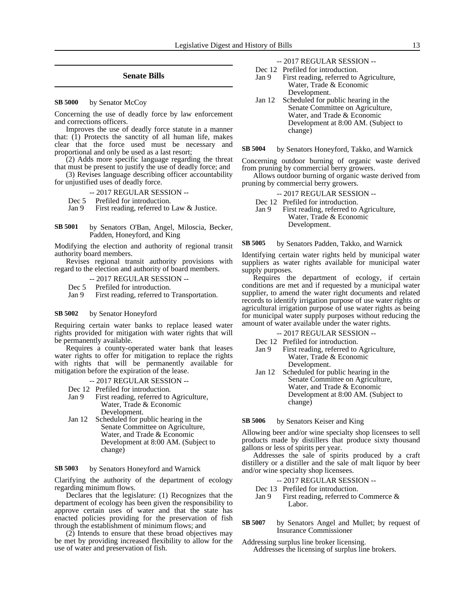# **Senate Bills**

by Senator McCoy **SB 5000**

Concerning the use of deadly force by law enforcement and corrections officers.

Improves the use of deadly force statute in a manner that:  $(1)$  Protects the sanctity of all human life, makes clear that the force used must be necessary and proportional and only be used as a last resort;

(2) Adds more specific language regarding the threat that must be present to justify the use of deadly force; and

(3) Revises language describing officer accountability for unjustified uses of deadly force.

- -- 2017 REGULAR SESSION --
- Dec 5 Prefiled for introduction.<br>Jan 9 First reading, referred to

First reading, referred to Law & Justice.

by Senators O'Ban, Angel, Miloscia, Becker, Padden, Honeyford, and King **SB 5001**

Modifying the election and authority of regional transit authority board members.

Revises regional transit authority provisions with regard to the election and authority of board members.

- -- 2017 REGULAR SESSION --
- Dec 5 Prefiled for introduction.
- Jan 9 First reading, referred to Transportation.

#### by Senator Honeyford **SB 5002**

Requiring certain water banks to replace leased water rights provided for mitigation with water rights that will be permanently available.

Requires a county-operated water bank that leases water rights to offer for mitigation to replace the rights with rights that will be permanently available for mitigation before the expiration of the lease.

- -- 2017 REGULAR SESSION --
- Dec 12 Prefiled for introduction.
- Jan 9 First reading, referred to Agriculture, Water, Trade & Economic Development.
- Jan 12 Scheduled for public hearing in the Senate Committee on Agriculture, Water, and Trade & Economic Development at 8:00 AM. (Subject to change)

#### by Senators Honeyford and Warnick **SB 5003**

Clarifying the authority of the department of ecology regarding minimum flows.

Declares that the legislature: (1) Recognizes that the department of ecology has been given the responsibility to approve certain uses of water and that the state has enacted policies providing for the preservation of fish through the establishment of minimum flows; and

(2) Intends to ensure that these broad objectives may be met by providing increased flexibility to allow for the use of water and preservation of fish.

-- 2017 REGULAR SESSION --

- Dec 12 Prefiled for introduction.
- Jan 9 First reading, referred to Agriculture, Water, Trade & Economic Development.
- Jan 12 Scheduled for public hearing in the Senate Committee on Agriculture, Water, and Trade & Economic Development at 8:00 AM. (Subject to change)

by Senators Honeyford, Takko, and Warnick **SB 5004**

Concerning outdoor burning of organic waste derived from pruning by commercial berry growers.

Allows outdoor burning of organic waste derived from pruning by commercial berry growers.

- -- 2017 REGULAR SESSION --
- Dec 12 Prefiled for introduction.
- Jan 9 First reading, referred to Agriculture, Water, Trade & Economic Development.

by Senators Padden, Takko, and Warnick **SB 5005**

Identifying certain water rights held by municipal water suppliers as water rights available for municipal water supply purposes.

Requires the department of ecology, if certain conditions are met and if requested by a municipal water supplier, to amend the water right documents and related records to identify irrigation purpose of use water rights or agricultural irrigation purpose of use water rights as being for municipal water supply purposes without reducing the amount of water available under the water rights.

- -- 2017 REGULAR SESSION --
- Dec 12 Prefiled for introduction.
- Jan 9 First reading, referred to Agriculture, Water, Trade & Economic Development.
- Jan 12 Scheduled for public hearing in the Senate Committee on Agriculture, Water, and Trade & Economic Development at 8:00 AM. (Subject to change)

by Senators Keiser and King **SB 5006**

Allowing beer and/or wine specialty shop licensees to sell products made by distillers that produce sixty thousand gallons or less of spirits per year.

Addresses the sale of spirits produced by a craft distillery or a distiller and the sale of malt liquor by beer and/or wine specialty shop licensees.

- -- 2017 REGULAR SESSION --
- Dec 13 Prefiled for introduction.<br>Jan 9 First reading, referred to
- First reading, referred to Commerce  $\&$ Labor.
- by Senators Angel and Mullet; by request of Insurance Commissioner **SB 5007**

Addressing surplus line broker licensing. Addresses the licensing of surplus line brokers.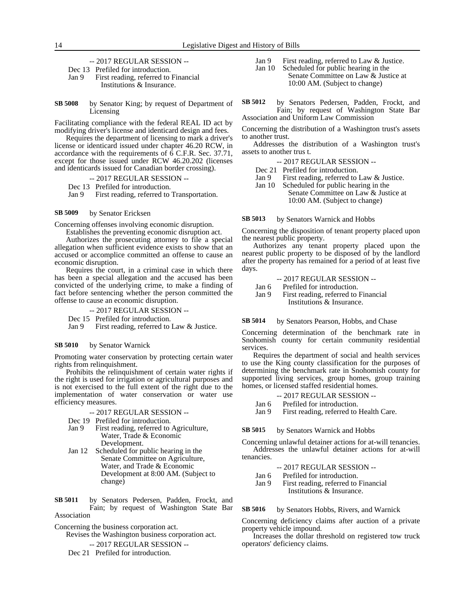-- 2017 REGULAR SESSION --

Dec 13 Prefiled for introduction.

Jan 9 First reading, referred to Financial Institutions & Insurance.

by Senator King; by request of Department of Licensing **SB 5008**

Facilitating compliance with the federal REAL ID act by modifying driver's license and identicard design and fees.

Requires the department of licensing to mark a driver's license or identicard issued under chapter 46.20 RCW, in accordance with the requirements of 6 C.F.R. Sec. 37.71, except for those issued under RCW 46.20.202 (licenses and identicards issued for Canadian border crossing).

- -- 2017 REGULAR SESSION --
- Dec 13 Prefiled for introduction.

Jan 9 First reading, referred to Transportation.

#### by Senator Ericksen **SB 5009**

Concerning offenses involving economic disruption.

Establishes the preventing economic disruption act. Authorizes the prosecuting attorney to file a special allegation when sufficient evidence exists to show that an accused or accomplice committed an offense to cause an economic disruption.

Requires the court, in a criminal case in which there has been a special allegation and the accused has been convicted of the underlying crime, to make a finding of fact before sentencing whether the person committed the offense to cause an economic disruption.

- -- 2017 REGULAR SESSION --
- Dec 15 Prefiled for introduction.

Jan 9 First reading, referred to Law & Justice.

#### by Senator Warnick **SB 5010**

Promoting water conservation by protecting certain water rights from relinquishment.

Prohibits the relinquishment of certain water rights if the right is used for irrigation or agricultural purposes and is not exercised to the full extent of the right due to the implementation of water conservation or water use efficiency measures.

- -- 2017 REGULAR SESSION --
- 
- Dec 19 Prefiled for introduction.<br>Jan 9 First reading, referred to First reading, referred to Agriculture, Water, Trade & Economic Development.
- Jan 12 Scheduled for public hearing in the Senate Committee on Agriculture, Water, and Trade & Economic Development at 8:00 AM. (Subject to change)

by Senators Pedersen, Padden, Frockt, and Fain; by request of Washington State Bar Association **SB 5011**

Concerning the business corporation act.

Revises the Washington business corporation act.

-- 2017 REGULAR SESSION --

Dec 21 Prefiled for introduction.

- Jan 9 First reading, referred to Law & Justice.
- Jan 10 Scheduled for public hearing in the Senate Committee on Law & Justice at 10:00 AM. (Subject to change)
- by Senators Pedersen, Padden, Frockt, and Fain; by request of Washington State Bar Association and Uniform Law Commission **SB 5012**

Concerning the distribution of a Washington trust's assets to another trust.

Addresses the distribution of a Washington trust's assets to another trus t.

-- 2017 REGULAR SESSION --

Dec 21 Prefiled for introduction.

- Jan 9 First reading, referred to Law & Justice.
- Jan 10 Scheduled for public hearing in the

Senate Committee on Law & Justice at 10:00 AM. (Subject to change)

by Senators Warnick and Hobbs **SB 5013**

Concerning the disposition of tenant property placed upon the nearest public property.

Authorizes any tenant property placed upon the nearest public property to be disposed of by the landlord after the property has remained for a period of at least five days.

- -- 2017 REGULAR SESSION --
- Jan 6 Prefiled for introduction.
- Jan 9 First reading, referred to Financial Institutions & Insurance.

by Senators Pearson, Hobbs, and Chase **SB 5014**

Concerning determination of the benchmark rate in Snohomish county for certain community residential services.

Requires the department of social and health services to use the King county classification for the purposes of determining the benchmark rate in Snohomish county for supported living services, group homes, group training homes, or licensed staffed residential homes.

- -- 2017 REGULAR SESSION --
- Jan 6 Prefiled for introduction.<br>Jan 9 First reading, referred to
	- First reading, referred to Health Care.

by Senators Warnick and Hobbs **SB 5015**

Concerning unlawful detainer actions for at-will tenancies. Addresses the unlawful detainer actions for at-will tenancies.

-- 2017 REGULAR SESSION --

- Jan 6 Prefiled for introduction.
- Jan 9 First reading, referred to Financial Institutions & Insurance.

#### by Senators Hobbs, Rivers, and Warnick **SB 5016**

Concerning deficiency claims after auction of a private property vehicle impound.

Increases the dollar threshold on registered tow truck operators' deficiency claims.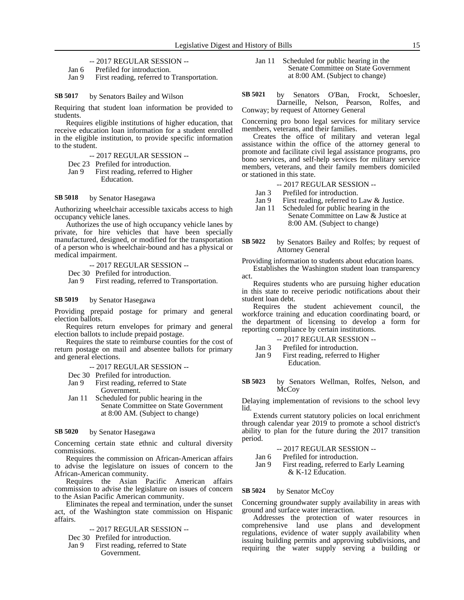-- 2017 REGULAR SESSION --

- Jan 6 Prefiled for introduction.
- Jan 9 First reading, referred to Transportation.

#### by Senators Bailey and Wilson **SB 5017**

Requiring that student loan information be provided to students.

Requires eligible institutions of higher education, that receive education loan information for a student enrolled in the eligible institution, to provide specific information to the student.

-- 2017 REGULAR SESSION --

- Dec 23 Prefiled for introduction.
- Jan 9 First reading, referred to Higher Education.

#### by Senator Hasegawa **SB 5018**

Authorizing wheelchair accessible taxicabs access to high occupancy vehicle lanes.

Authorizes the use of high occupancy vehicle lanes by private, for hire vehicles that have been specially manufactured, designed, or modified for the transportation of a person who is wheelchair-bound and has a physical or medical impairment.

-- 2017 REGULAR SESSION --

Dec 30 Prefiled for introduction.

Jan 9 First reading, referred to Transportation.

#### by Senator Hasegawa **SB 5019**

Providing prepaid postage for primary and general election ballots.

Requires return envelopes for primary and general election ballots to include prepaid postage.

Requires the state to reimburse counties for the cost of return postage on mail and absentee ballots for primary and general elections.

- -- 2017 REGULAR SESSION --
- 
- Dec 30 Prefiled for introduction.<br>Jan 9 First reading, referred to First reading, referred to State Government.
- Jan 11 Scheduled for public hearing in the Senate Committee on State Government at 8:00 AM. (Subject to change)

#### by Senator Hasegawa **SB 5020**

Concerning certain state ethnic and cultural diversity commissions.

Requires the commission on African-American affairs to advise the legislature on issues of concern to the African-American community.

Requires the Asian Pacific American affairs commission to advise the legislature on issues of concern to the Asian Pacific American community.

Eliminates the repeal and termination, under the sunset act, of the Washington state commission on Hispanic affairs.

- -- 2017 REGULAR SESSION --
- Dec 30 Prefiled for introduction.
- Jan 9 First reading, referred to State Government.

Jan 11 Scheduled for public hearing in the Senate Committee on State Government at 8:00 AM. (Subject to change)

by Senators O'Ban, Frockt, Schoesler, Darneille, Nelson, Pearson, Rolfes, and Conway; by request of Attorney General **SB 5021**

Concerning pro bono legal services for military service members, veterans, and their families.

Creates the office of military and veteran legal assistance within the office of the attorney general to promote and facilitate civil legal assistance programs, pro bono services, and self-help services for military service members, veterans, and their family members domiciled or stationed in this state.

- -- 2017 REGULAR SESSION --
- 
- Jan 3 Prefiled for introduction.<br>Jan 9 First reading, referred to First reading, referred to Law & Justice.
- Jan 11 Scheduled for public hearing in the

Senate Committee on Law & Justice at 8:00 AM. (Subject to change)

by Senators Bailey and Rolfes; by request of Attorney General **SB 5022**

Providing information to students about education loans. Establishes the Washington student loan transparency

act. Requires students who are pursuing higher education

in this state to receive periodic notifications about their student loan debt.

Requires the student achievement council, the workforce training and education coordinating board, or the department of licensing to develop a form for reporting compliance by certain institutions.

| -- 2017 REGULAR SESSION -- |  |
|----------------------------|--|
|----------------------------|--|

Jan 3 Prefiled for introduction. Jan 9 First reading, referred to Higher

Education.

by Senators Wellman, Rolfes, Nelson, and McCoy **SB 5023**

Delaying implementation of revisions to the school levy lid.

Extends current statutory policies on local enrichment through calendar year 2019 to promote a school district's ability to plan for the future during the 2017 transition period.

-- 2017 REGULAR SESSION --

Jan 6 Prefiled for introduction.

Jan 9 First reading, referred to Early Learning & K-12 Education.

#### by Senator McCoy **SB 5024**

Concerning groundwater supply availability in areas with ground and surface water interaction.

Addresses the protection of water resources in comprehensive land use plans and development regulations, evidence of water supply availability when issuing building permits and approving subdivisions, and requiring the water supply serving a building or